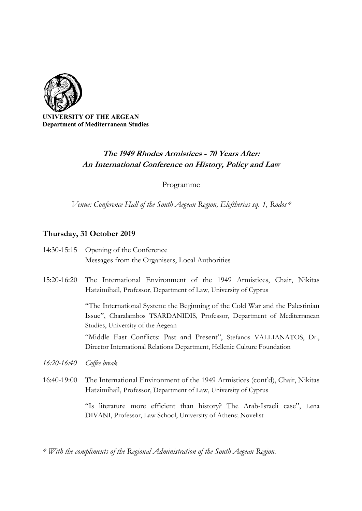

ERSITY OF THE AEGEAN Department of Mediterranean Studies

## The 1949 Rhodes Armistices - 70 Years After: An International Conference on History, Policy and Law

Programme

Venue: Conference Hall of the South Aegean Region, Eleftherias sq. 1, Rodos  $*$ 

## Thursday, 31 October 2019

- 14:30-15:15 Opening of the Conference Messages from the Organisers, Local Authorities
- 15:20-16:20 The International Environment of the 1949 Armistices, Chair, Nikitas Hatzimihail, Professor, Department of Law, University of Cyprus

"The International System: the Beginning of the Cold War and the Palestinian Issue", Charalambos TSARDANIDIS, Professor, Department of Mediterranean Studies, University of the Aegean

"Middle East Conflicts: Past and Present", Stefanos VALLIANATOS, Dr., Director International Relations Department, Hellenic Culture Foundation

- 16:20-16:40 Coffee break
- 16:40-19:00 The International Environment of the 1949 Armistices (cont'd), Chair, Nikitas Hatzimihail, Professor, Department of Law, University of Cyprus

"Is literature more efficient than history? The Arab-Israeli case", Lena DIVANI, Professor, Law School, University of Athens; Novelist

\* With the compliments of the Regional Administration of the South Aegean Region.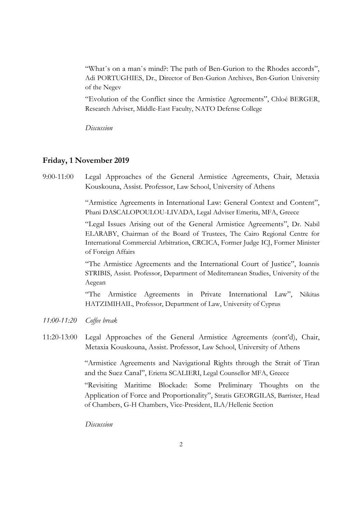"What΄s on a man΄s mind?: The path of Ben-Gurion to the Rhodes accords", Adi PORTUGHIES, Dr., Director of Ben-Gurion Archives, Ben-Gurion University of the Negev

"Evolution of the Conflict since the Armistice Agreements", Chloé BERGER, Research Adviser, Middle-East Faculty, NATO Defense College

Discussion

## Friday, 1 November 2019

9:00-11:00 Legal Approaches of the General Armistice Agreements, Chair, Metaxia Kouskouna, Assist. Professor, Law School, University of Athens

> "Armistice Agreements in International Law: General Context and Content", Phani DASCALOPOULOU-LIVADA, Legal Adviser Emerita, MFA, Greece

> "Legal Issues Arising out of the General Armistice Agreements", Dr. Nabil ELARABY, Chairman of the Board of Trustees, The Cairo Regional Centre for International Commercial Arbitration, CRCICA, Former Judge ICJ, Former Minister of Foreign Affairs

> "The Armistice Agreements and the International Court of Justice", Ioannis STRIBIS, Assist. Professor, Department of Mediterranean Studies, University of the Aegean

> "The Armistice Agreements in Private International Law", Nikitas HATZIMIHAIL, Professor, Department of Law, University of Cyprus

- 11:00-11:20 Coffee break
- 11:20-13:00 Legal Approaches of the General Armistice Agreements (cont'd), Chair, Metaxia Kouskouna, Assist. Professor, Law School, University of Athens

"Armistice Agreements and Navigational Rights through the Strait of Tiran and the Suez Canal", Erietta SCALIERI, Legal Counsellor MFA, Greece

"Revisiting Maritime Blockade: Some Preliminary Thoughts on the Application of Force and Proportionality", Stratis GEORGILAS, Barrister, Head of Chambers, G-H Chambers, Vice-President, ILA/Hellenic Section

Discussion